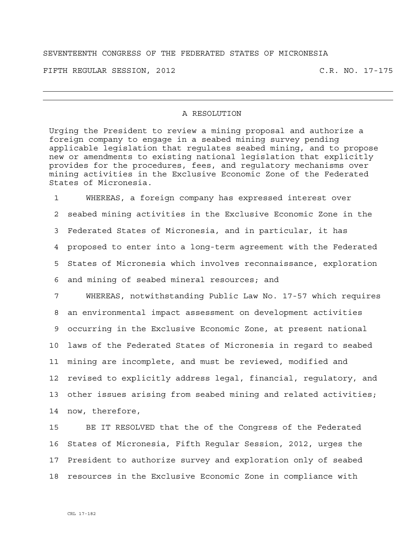## SEVENTEENTH CONGRESS OF THE FEDERATED STATES OF MICRONESIA

FIFTH REGULAR SESSION, 2012 C.R. NO. 17-175

## A RESOLUTION

Urging the President to review a mining proposal and authorize a foreign company to engage in a seabed mining survey pending applicable legislation that regulates seabed mining, and to propose new or amendments to existing national legislation that explicitly provides for the procedures, fees, and regulatory mechanisms over mining activities in the Exclusive Economic Zone of the Federated States of Micronesia.

1 WHEREAS, a foreign company has expressed interest over 2 seabed mining activities in the Exclusive Economic Zone in the 3 Federated States of Micronesia, and in particular, it has 4 proposed to enter into a long-term agreement with the Federated 5 States of Micronesia which involves reconnaissance, exploration 6 and mining of seabed mineral resources; and

7 WHEREAS, notwithstanding Public Law No. 17-57 which requires 8 an environmental impact assessment on development activities 9 occurring in the Exclusive Economic Zone, at present national 10 laws of the Federated States of Micronesia in regard to seabed 11 mining are incomplete, and must be reviewed, modified and 12 revised to explicitly address legal, financial, regulatory, and 13 other issues arising from seabed mining and related activities; 14 now, therefore,

15 BE IT RESOLVED that the of the Congress of the Federated 16 States of Micronesia, Fifth Regular Session, 2012, urges the 17 President to authorize survey and exploration only of seabed 18 resources in the Exclusive Economic Zone in compliance with